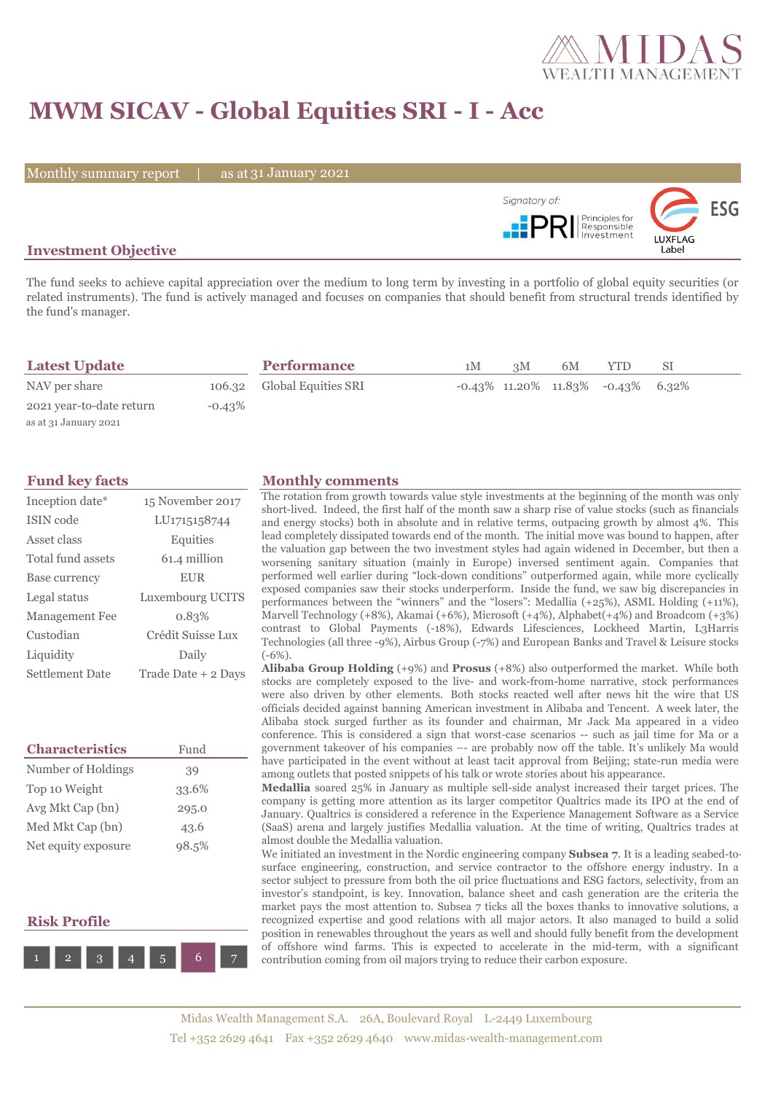

# **MWM SICAV - Global Equities SRI - I - Acc**

Monthly summary report | as at 31 January 2021



### **Investment Objective**

The fund seeks to achieve capital appreciation over the medium to long term by investing in a portfolio of global equity securities (or related instruments). The fund is actively managed and focuses on companies that should benefit from structural trends identified by the fund's manager.

| <b>Latest Update</b>     |           | <b>Performance</b>         | 1M | 3M | 6M | <b>YTD</b>                                 | SΙ |  |
|--------------------------|-----------|----------------------------|----|----|----|--------------------------------------------|----|--|
| NAV per share            |           | 106.32 Global Equities SRI |    |    |    | $-0.43\%$ 11.20\% 11.83\% $-0.43\%$ 6.32\% |    |  |
| 2021 year-to-date return | $-0.43\%$ |                            |    |    |    |                                            |    |  |
| as at 31 January 2021    |           |                            |    |    |    |                                            |    |  |

| Inception date*       | 15 November 2017    |  |  |  |
|-----------------------|---------------------|--|--|--|
| ISIN code             | LU1715158744        |  |  |  |
| Asset class           | Equities            |  |  |  |
| Total fund assets     | 61.4 million        |  |  |  |
| Base currency         | <b>EUR</b>          |  |  |  |
| Legal status          | Luxembourg UCITS    |  |  |  |
| <b>Management Fee</b> | 0.83%               |  |  |  |
| Custodian             | Crédit Suisse Lux   |  |  |  |
| Liquidity             | Daily               |  |  |  |
| Settlement Date       | Trade Date + 2 Days |  |  |  |

| <b>Characteristics</b> | Fund  |
|------------------------|-------|
| Number of Holdings     | 39    |
| Top 10 Weight          | 33.6% |
| Avg Mkt Cap (bn)       | 295.0 |
| Med Mkt Cap (bn)       | 43.6  |
| Net equity exposure    | 98.5% |

### **Risk Profile**



#### **Fund key facts Monthly comments**

The rotation from growth towards value style investments at the beginning of the month was only short-lived. Indeed, the first half of the month saw a sharp rise of value stocks (such as financials and energy stocks) both in absolute and in relative terms, outpacing growth by almost 4%. This lead completely dissipated towards end of the month. The initial move was bound to happen, after the valuation gap between the two investment styles had again widened in December, but then a worsening sanitary situation (mainly in Europe) inversed sentiment again. Companies that performed well earlier during "lock-down conditions" outperformed again, while more cyclically exposed companies saw their stocks underperform. Inside the fund, we saw big discrepancies in performances between the "winners" and the "losers": Medallia (+25%), ASML Holding (+11%), Marvell Technology (+8%), Akamai (+6%), Microsoft (+4%), Alphabet(+4%) and Broadcom (+3%) contrast to Global Payments (-18%), Edwards Lifesciences, Lockheed Martin, L3Harris Technologies (all three -9%), Airbus Group (-7%) and European Banks and Travel & Leisure stocks (-6%).

**Alibaba Group Holding** (+9%) and **Prosus** (+8%) also outperformed the market. While both stocks are completely exposed to the live- and work-from-home narrative, stock performances were also driven by other elements. Both stocks reacted well after news hit the wire that US officials decided against banning American investment in Alibaba and Tencent. A week later, the Alibaba stock surged further as its founder and chairman, Mr Jack Ma appeared in a video conference. This is considered a sign that worst-case scenarios -- such as jail time for Ma or a government takeover of his companies –- are probably now off the table. It's unlikely Ma would have participated in the event without at least tacit approval from Beijing; state-run media were among outlets that posted snippets of his talk or wrote stories about his appearance.

**Medallia** soared 25% in January as multiple sell-side analyst increased their target prices. The company is getting more attention as its larger competitor Qualtrics made its IPO at the end of January. Qualtrics is considered a reference in the Experience Management Software as a Service (SaaS) arena and largely justifies Medallia valuation. At the time of writing, Qualtrics trades at almost double the Medallia valuation.

We initiated an investment in the Nordic engineering company **Subsea 7**. It is a leading seabed-tosurface engineering, construction, and service contractor to the offshore energy industry. In a sector subject to pressure from both the oil price fluctuations and ESG factors, selectivity, from an investor's standpoint, is key. Innovation, balance sheet and cash generation are the criteria the market pays the most attention to. Subsea 7 ticks all the boxes thanks to innovative solutions, a recognized expertise and good relations with all major actors. It also managed to build a solid position in renewables throughout the years as well and should fully benefit from the development of offshore wind farms. This is expected to accelerate in the mid-term, with a significant contribution coming from oil majors trying to reduce their carbon exposure.